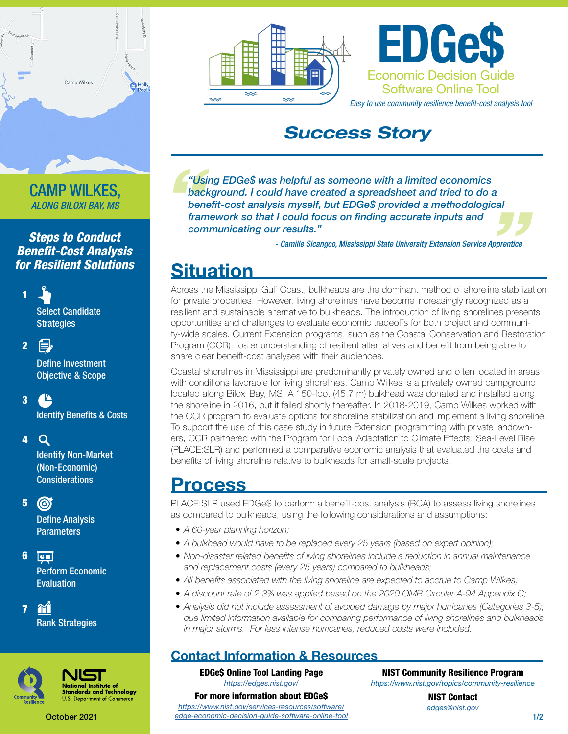

*ALONG BILOXI BAY, MS*

#### *Steps to Conduct Benefit-Cost Analysis for Resilient Solutions*

Select Candidate **Strategies** 

昌 2

1

**Define Investment** Objective & Scope

### 3

**Identify Benefits & Costs** 

4 Q

Identify Non-Market (Non-Economic) **Considerations** 

5  $\odot$ 

> **Define Analysis** Parameters

6  $\boxed{\mathbf{c}}$ Perform Economic Evaluation

m Rank Strategies



7

ational Institute of dards and Technology









### *Success Story*

<sup>"Us</sup><br>bac<br>ber<br>frai *"Using EDGe\$ was helpful as someone with a limited economics background. I could have created a spreadsheet and tried to do a benefit-cost analysis myself, but EDGe\$ provided a methodological background. I could have created a spreadsheet and tried to do a*<br>benefit-cost analysis myself, but EDGe\$ provided a methodological<br>framework so that I could focus on finding accurate inputs and<br>communicating our results. *communicating our results."*

*- Camille Sicangco, Mississippi State University Extension Service Apprentice*

# **Situation**

Across the Mississippi Gulf Coast, bulkheads are the dominant method of shoreline stabilization for private properties. However, living shorelines have become increasingly recognized as a resilient and sustainable alternative to bulkheads. The introduction of living shorelines presents opportunities and challenges to evaluate economic tradeoffs for both project and community-wide scales. Current Extension programs, such as the Coastal Conservation and Restoration Program (CCR), foster understanding of resilient alternatives and benefit from being able to share clear beneift-cost analyses with their audiences.

Coastal shorelines in Mississippi are predominantly privately owned and often located in areas with conditions favorable for living shorelines. Camp Wilkes is a privately owned campground located along Biloxi Bay, MS. A 150-foot (45.7 m) bulkhead was donated and installed along the shoreline in 2016, but it failed shortly thereafter. In 2018-2019, Camp Wilkes worked with the CCR program to evaluate options for shoreline stabilization and implement a living shoreline. To support the use of this case study in future Extension programming with private landowners, CCR partnered with the Program for Local Adaptation to Climate Effects: Sea-Level Rise (PLACE:SLR) and performed a comparative economic analysis that evaluated the costs and benefits of living shoreline relative to bulkheads for small-scale projects.

### Process

PLACE:SLR used EDGe\$ to perform a benefit-cost analysis (BCA) to assess living shorelines as compared to bulkheads, using the following considerations and assumptions:

- *• A 60-year planning horizon;*
- *• A bulkhead would have to be replaced every 25 years (based on expert opinion);*
- *• Non-disaster related benefits of living shorelines include a reduction in annual maintenance and replacement costs (every 25 years) compared to bulkheads;*
- All benefits associated with the living shoreline are expected to accrue to Camp Wilkes;
- *• A discount rate of 2.3% was applied based on the 2020 OMB Circular A-94 Appendix C;*
- *• Analysis did not include assessment of avoided damage by major hurricanes (Categories 3-5), due limited information available for comparing performance of living shorelines and bulkheads in major storms. For less intense hurricanes, reduced costs were included.*

### Contact Information & Resources

EDGe\$ Online Tool Landing Page *<https://edges.nist.gov/>*

NIST Community Resilience Program

*<https://www.nist.gov/topics/community-resilience>*

For more information about EDGe\$ *[https://www.nist.gov/services-resources/software/](https://www.nist.gov/services-resources/software/edge-economic-decision-guide-software-online-tool) [edge-economic-decision-guide-software-online-tool](https://www.nist.gov/services-resources/software/edge-economic-decision-guide-software-online-tool)*

NIST Contact *edge[s@nist.gov](mailto:edges%40nist.gov?subject=)*